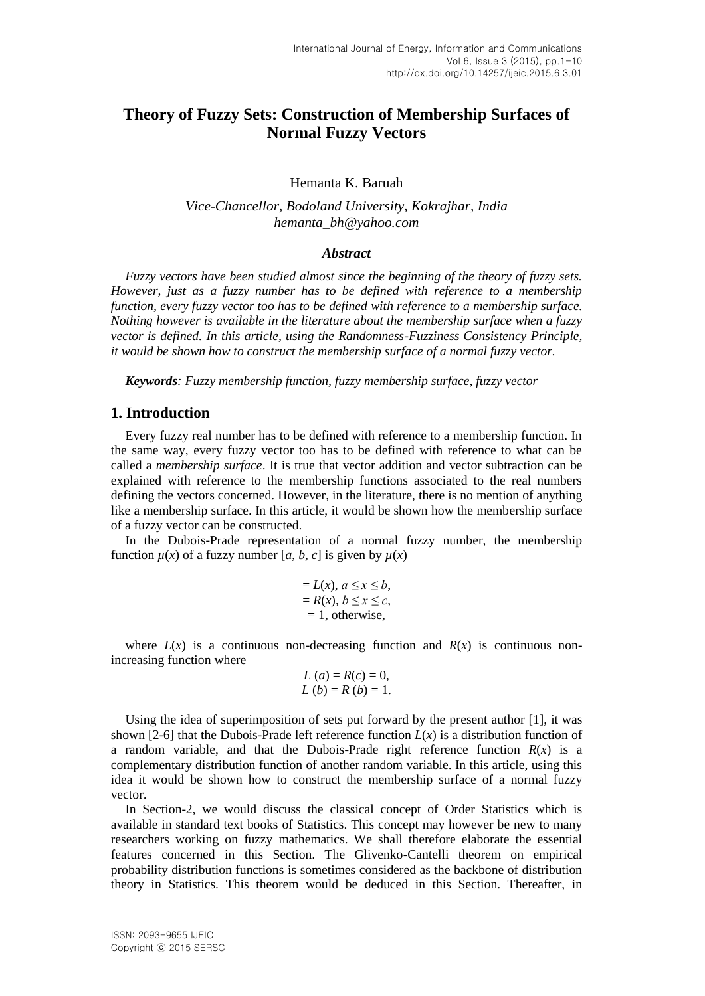# **Theory of Fuzzy Sets: Construction of Membership Surfaces of Normal Fuzzy Vectors**

Hemanta K. Baruah

*Vice-Chancellor, Bodoland University, Kokrajhar, India hemanta\_bh@yahoo.com*

### *Abstract*

*Fuzzy vectors have been studied almost since the beginning of the theory of fuzzy sets. However, just as a fuzzy number has to be defined with reference to a membership function, every fuzzy vector too has to be defined with reference to a membership surface. Nothing however is available in the literature about the membership surface when a fuzzy vector is defined. In this article, using the Randomness-Fuzziness Consistency Principle, it would be shown how to construct the membership surface of a normal fuzzy vector.*

*Keywords: Fuzzy membership function, fuzzy membership surface, fuzzy vector*

### **1. Introduction**

Every fuzzy real number has to be defined with reference to a membership function. In the same way, every fuzzy vector too has to be defined with reference to what can be called a *membership surface*. It is true that vector addition and vector subtraction can be explained with reference to the membership functions associated to the real numbers defining the vectors concerned. However, in the literature, there is no mention of anything like a membership surface. In this article, it would be shown how the membership surface of a fuzzy vector can be constructed.

In the Dubois-Prade representation of a normal fuzzy number, the membership function  $\mu(x)$  of a fuzzy number [a, b, c] is given by  $\mu(x)$ 

$$
= L(x), a \le x \le b,
$$
  
= R(x), b \le x \le c,  
= 1, otherwise,

where  $L(x)$  is a continuous non-decreasing function and  $R(x)$  is continuous nonincreasing function where

$$
L(a) = R(c) = 0,
$$
  
\n $L(b) = R(b) = 1.$ 

Using the idea of superimposition of sets put forward by the present author [1], it was shown [2-6] that the Dubois-Prade left reference function  $L(x)$  is a distribution function of a random variable, and that the Dubois-Prade right reference function  $R(x)$  is a complementary distribution function of another random variable. In this article, using this idea it would be shown how to construct the membership surface of a normal fuzzy vector.

In Section-2, we would discuss the classical concept of Order Statistics which is available in standard text books of Statistics. This concept may however be new to many researchers working on fuzzy mathematics. We shall therefore elaborate the essential features concerned in this Section. The Glivenko-Cantelli theorem on empirical probability distribution functions is sometimes considered as the backbone of distribution theory in Statistics. This theorem would be deduced in this Section. Thereafter, in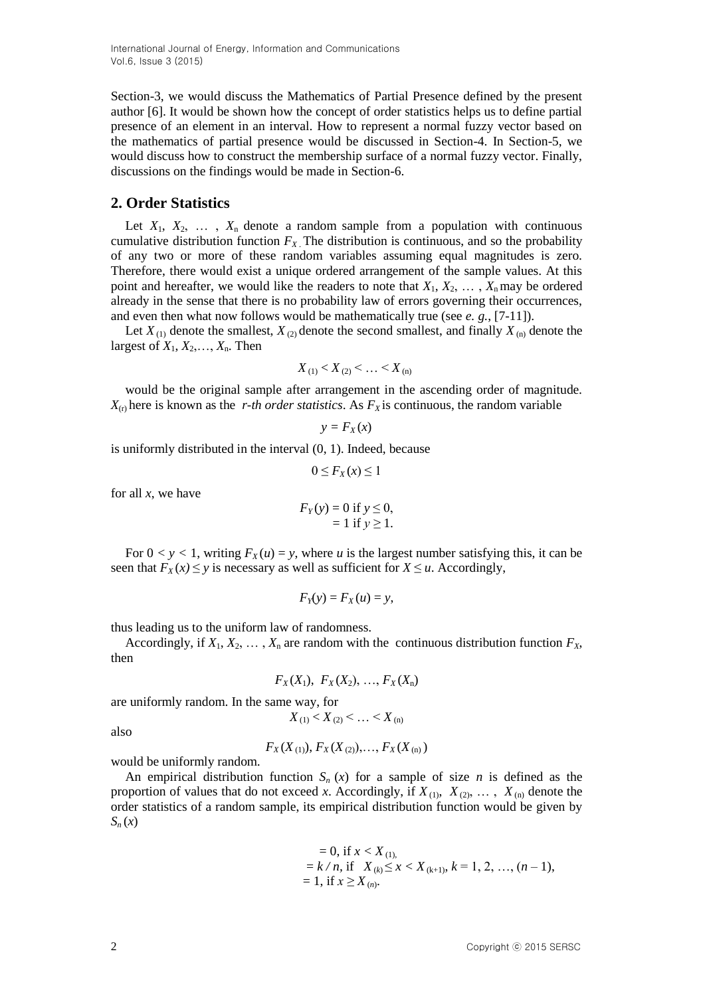International Journal of Energy, Information and Communications Vol.6, Issue 3 (2015)

Section-3, we would discuss the Mathematics of Partial Presence defined by the present author [6]. It would be shown how the concept of order statistics helps us to define partial presence of an element in an interval. How to represent a normal fuzzy vector based on the mathematics of partial presence would be discussed in Section-4. In Section-5, we would discuss how to construct the membership surface of a normal fuzzy vector. Finally, discussions on the findings would be made in Section-6.

## **2. Order Statistics**

Let  $X_1, X_2, \ldots, X_n$  denote a random sample from a population with continuous cumulative distribution function  $F_X$ . The distribution is continuous, and so the probability of any two or more of these random variables assuming equal magnitudes is zero. Therefore, there would exist a unique ordered arrangement of the sample values. At this point and hereafter, we would like the readers to note that  $X_1, X_2, \ldots, X_n$  may be ordered already in the sense that there is no probability law of errors governing their occurrences, and even then what now follows would be mathematically true (see *e. g.*, [7-11]).

Let  $X_{(1)}$  denote the smallest,  $X_{(2)}$  denote the second smallest, and finally  $X_{(n)}$  denote the largest of  $X_1, X_2, \ldots, X_n$ . Then

$$
X_{(1)} < X_{(2)} < \ldots < X_{(n)}
$$

would be the original sample after arrangement in the ascending order of magnitude.  $X_{(r)}$  here is known as the *r-th order statistics*. As  $F_X$  is continuous, the random variable

$$
y = F_X(x)
$$

is uniformly distributed in the interval (0, 1). Indeed, because

$$
0 \le F_X(x) \le 1
$$

for all *x*, we have

$$
F_Y(y) = 0
$$
 if  $y \le 0$ ,  
= 1 if  $y \ge 1$ .

For  $0 < y < 1$ , writing  $F_X(u) = y$ , where *u* is the largest number satisfying this, it can be seen that  $F_X(x) \le y$  is necessary as well as sufficient for  $X \le u$ . Accordingly,

$$
F_Y(y) = F_X(u) = y,
$$

thus leading us to the uniform law of randomness.

Accordingly, if  $X_1, X_2, \ldots, X_n$  are random with the continuous distribution function  $F_X$ , then

$$
F_X(X_1), F_X(X_2), ..., F_X(X_n)
$$

are uniformly random. In the same way, for

$$
X_{(1)} < X_{(2)} < \ldots < X_{(n)}
$$

also

 $F_X(X_{(1)})$ ,  $F_X(X_{(2)})$ ,  $F_Y(X_{(n)})$ 

would be uniformly random.

An empirical distribution function  $S_n(x)$  for a sample of size *n* is defined as the proportion of values that do not exceed *x*. Accordingly, if  $X_{(1)}$ ,  $X_{(2)}$ , ...,  $X_{(n)}$  denote the order statistics of a random sample, its empirical distribution function would be given by  $S_n(x)$ 

= 0, if 
$$
x < X_{(1)}
$$
,  
=  $k / n$ , if  $X_{(k)} \le x < X_{(k+1)}$ ,  $k = 1, 2, ..., (n-1)$ ,  
= 1, if  $x \ge X_{(n)}$ .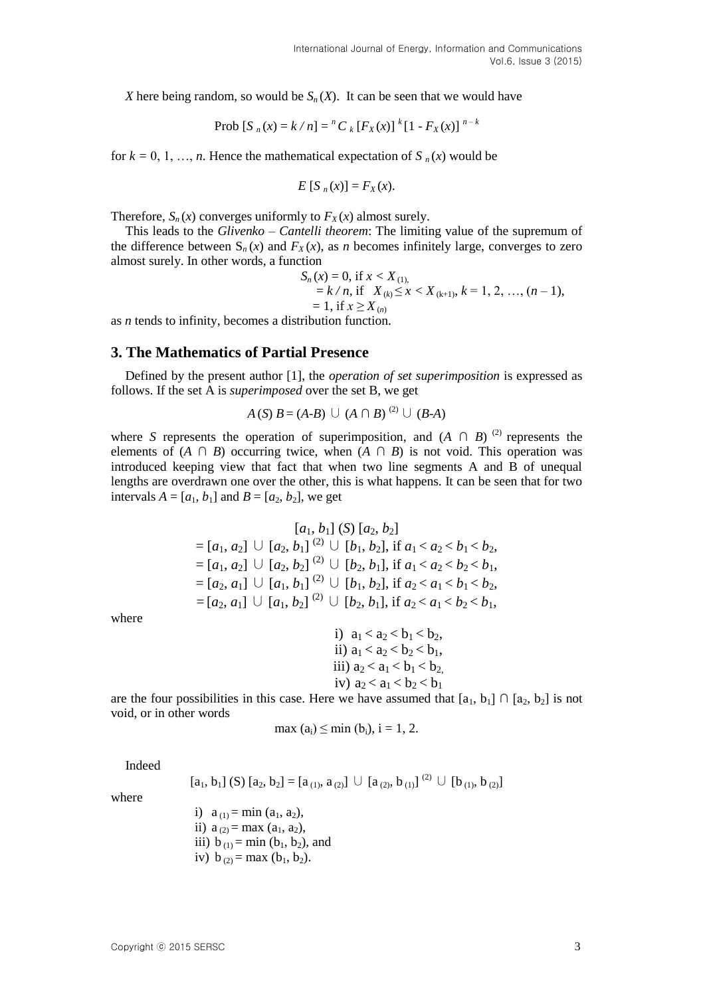*X* here being random, so would be  $S_n(X)$ . It can be seen that we would have

Prob 
$$
[S_n(x) = k/n] = {^n}C_k [F_X(x)]^k [1 - F_X(x)]^{n-k}
$$

for  $k = 0, 1, \ldots, n$ . Hence the mathematical expectation of  $S_n(x)$  would be

$$
E[S_n(x)] = F_X(x).
$$

Therefore,  $S_n(x)$  converges uniformly to  $F_X(x)$  almost surely.

This leads to the *Glivenko – Cantelli theorem*: The limiting value of the supremum of the difference between  $S_n(x)$  and  $F_X(x)$ , as *n* becomes infinitely large, converges to zero almost surely. In other words, a function

> $S_n(x) = 0$ , if  $x < X_{(1)}$ ,  $= k/n$ , if  $X_{(k)} \leq x < X_{(k+1)}$ ,  $k = 1, 2, ..., (n-1)$ ,  $= 1$ , if  $x \geq X_{(n)}$

as *n* tends to infinity, becomes a distribution function.

#### **3. The Mathematics of Partial Presence**

Defined by the present author [1], the *operation of set superimposition* is expressed as follows. If the set A is *superimposed* over the set B, we get

$$
A(S) B = (A-B) \cup (A \cap B)
$$
<sup>(2)</sup>  $\cup$   $(B-A)$ 

where *S* represents the operation of superimposition, and  $(A \cap B)$ <sup>(2)</sup> represents the elements of  $(A \cap B)$  occurring twice, when  $(A \cap B)$  is not void. This operation was introduced keeping view that fact that when two line segments A and B of unequal lengths are overdrawn one over the other, this is what happens. It can be seen that for two intervals  $A = [a_1, b_1]$  and  $B = [a_2, b_2]$ , we get

$$
[a_1, b_1] (S) [a_2, b_2]
$$
  
= [a<sub>1</sub>, a<sub>2</sub>]  $\cup$  [a<sub>2</sub>, b<sub>1</sub>] <sup>(2)</sup>  $\cup$  [b<sub>1</sub>, b<sub>2</sub>], if a<sub>1</sub> < a<sub>2</sub> < b<sub>1</sub> < b<sub>2</sub>,  
= [a<sub>1</sub>, a<sub>2</sub>]  $\cup$  [a<sub>2</sub>, b<sub>2</sub>] <sup>(2)</sup>  $\cup$  [b<sub>2</sub>, b<sub>1</sub>], if a<sub>1</sub> < a<sub>2</sub> < b<sub>2</sub> < b<sub>1</sub>,  
= [a<sub>2</sub>, a<sub>1</sub>]  $\cup$  [a<sub>1</sub>, b<sub>1</sub>] <sup>(2)</sup>  $\cup$  [b<sub>1</sub>, b<sub>2</sub>], if a<sub>2</sub> < a<sub>1</sub> < b<sub>1</sub> < b<sub>2</sub>,  
= [a<sub>2</sub>, a<sub>1</sub>]  $\cup$  [a<sub>1</sub>, b<sub>2</sub>] <sup>(2)</sup>  $\cup$  [b<sub>2</sub>, b<sub>1</sub>], if a<sub>2</sub> < a<sub>1</sub> < b<sub>2</sub> < b<sub>1</sub>,

where

\n- i) 
$$
a_1 < a_2 < b_1 < b_2
$$
\n- ii)  $a_1 < a_2 < b_2 < b_1$
\n- iii)  $a_2 < a_1 < b_1 < b_2$
\n- iv)  $a_2 < a_1 < b_2 < b_1$
\n

are the four possibilities in this case. Here we have assumed that  $[a_1, b_1] \cap [a_2, b_2]$  is not void, or in other words

$$
\max (a_i) \leq \min (b_i), i = 1, 2.
$$

Indeed

$$
[a_1, b_1] (S) [a_2, b_2] = [a_{(1)}, a_{(2)}] \cup [a_{(2)}, b_{(1)}]^{(2)} \cup [b_{(1)}, b_{(2)}]
$$

where

i)  $a_{(1)} = \min(a_1, a_2)$ , ii)  $a_{(2)} = max (a_1, a_2)$ , iii)  $b_{(1)} = min (b_1, b_2)$ , and iv)  $b_{(2)} = max (b_1, b_2)$ .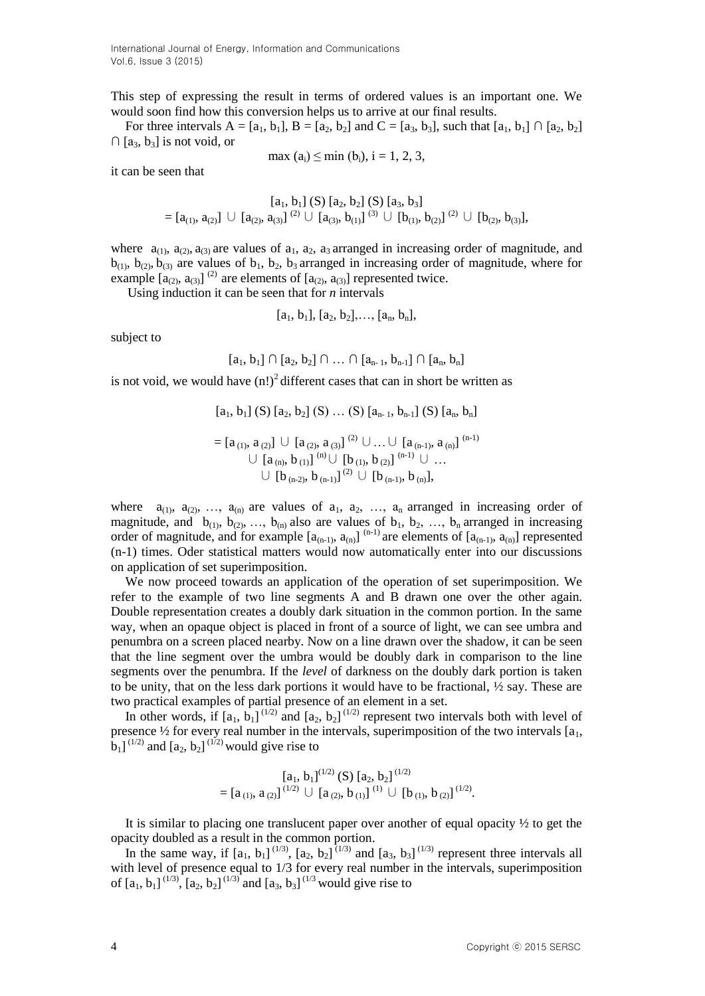International Journal of Energy, Information and Communications Vol.6, Issue 3 (2015)

This step of expressing the result in terms of ordered values is an important one. We would soon find how this conversion helps us to arrive at our final results.

For three intervals  $A = [a_1, b_1], B = [a_2, b_2]$  and  $C = [a_3, b_3]$ , such that  $[a_1, b_1] \cap [a_2, b_2]$ ∩ [a3, b3] is not void, or

$$
\max (a_i) \leq \min (b_i), i = 1, 2, 3,
$$

it can be seen that

$$
[a_1, b_1] (S) [a_2, b_2] (S) [a_3, b_3] = [a_{(1)}, a_{(2)}] \cup [a_{(2)}, a_{(3)}]^{(2)} \cup [a_{(3)}, b_{(1)}]^{(3)} \cup [b_{(1)}, b_{(2)}]^{(2)} \cup [b_{(2)}, b_{(3)}],
$$

where  $a_{(1)}$ ,  $a_{(2)}$ ,  $a_{(3)}$  are values of  $a_1$ ,  $a_2$ ,  $a_3$  arranged in increasing order of magnitude, and  $b_{(1)}$ ,  $b_{(2)}$ ,  $b_{(3)}$  are values of  $b_1$ ,  $b_2$ ,  $b_3$  arranged in increasing order of magnitude, where for example  $[a_{(2)}, a_{(3)}]^{(2)}$  are elements of  $[a_{(2)}, a_{(3)}]$  represented twice.

Using induction it can be seen that for *n* intervals

$$
[a_1, b_1], [a_2, b_2], \ldots, [a_n, b_n],
$$

subject to

$$
[a_1, b_1] \cap [a_2, b_2] \cap ... \cap [a_{n-1}, b_{n-1}] \cap [a_n, b_n]
$$

is not void, we would have  $(n!)^2$  different cases that can in short be written as

$$
[a_1, b_1] (S) [a_2, b_2] (S) ... (S) [a_{n-1}, b_{n-1}] (S) [a_n, b_n]
$$
  
= 
$$
[a_{(1)}, a_{(2)}] \cup [a_{(2)}, a_{(3)}]^{(2)} \cup ... \cup [a_{(n-1)}, a_{(n)}]^{(n-1)}
$$
  

$$
\cup [a_{(n)}, b_{(1)}]^{(n)} \cup [b_{(1)}, b_{(2)}]^{(n-1)} \cup ...
$$
  

$$
\cup [b_{(n-2)}, b_{(n-1)}]^{(2)} \cup [b_{(n-1)}, b_{(n)}],
$$

where  $a_{(1)}, a_{(2)}, \ldots, a_{(n)}$  are values of  $a_1, a_2, \ldots, a_n$  arranged in increasing order of magnitude, and  $b_{(1)}$ ,  $b_{(2)}$ , ...,  $b_{(n)}$  also are values of  $b_1$ ,  $b_2$ , ...,  $b_n$  arranged in increasing order of magnitude, and for example  $[a_{(n-1)}, a_{(n)}]$ <sup>(n-1)</sup> are elements of  $[a_{(n-1)}, a_{(n)}]$  represented (n-1) times. Oder statistical matters would now automatically enter into our discussions on application of set superimposition.

We now proceed towards an application of the operation of set superimposition. We refer to the example of two line segments A and B drawn one over the other again. Double representation creates a doubly dark situation in the common portion. In the same way, when an opaque object is placed in front of a source of light, we can see umbra and penumbra on a screen placed nearby. Now on a line drawn over the shadow, it can be seen that the line segment over the umbra would be doubly dark in comparison to the line segments over the penumbra. If the *level* of darkness on the doubly dark portion is taken to be unity, that on the less dark portions it would have to be fractional,  $\frac{1}{2}$  say. These are two practical examples of partial presence of an element in a set.

In other words, if  $[a_1, b_1]^{(1/2)}$  and  $[a_2, b_2]^{(1/2)}$  represent two intervals both with level of presence  $\frac{1}{2}$  for every real number in the intervals, superimposition of the two intervals  $[a_1, a_2, a_3]$  $\hat{b}_1$ ]<sup>(1/2)</sup> and  $[a_2, b_2]$ <sup>(1/2)</sup> would give rise to

$$
[a_1, b_1]^{(1/2)} (S) [a_2, b_2]^{(1/2)} = [a_{(1)}, a_{(2)}]^{(1/2)} \cup [a_{(2)}, b_{(1)}]^{(1)} \cup [b_{(1)}, b_{(2)}]^{(1/2)}.
$$

It is similar to placing one translucent paper over another of equal opacity  $\frac{1}{2}$  to get the opacity doubled as a result in the common portion.

In the same way, if  $[a_1, b_1]^{(1/3)}$ ,  $[a_2, b_2]^{(1/3)}$  and  $[a_3, b_3]^{(1/3)}$  represent three intervals all with level of presence equal to  $1/3$  for every real number in the intervals, superimposition of  $[a_1, b_1]^{(1/3)}$ ,  $[a_2, b_2]^{(1/3)}$  and  $[a_3, b_3]^{(1/3)}$  would give rise to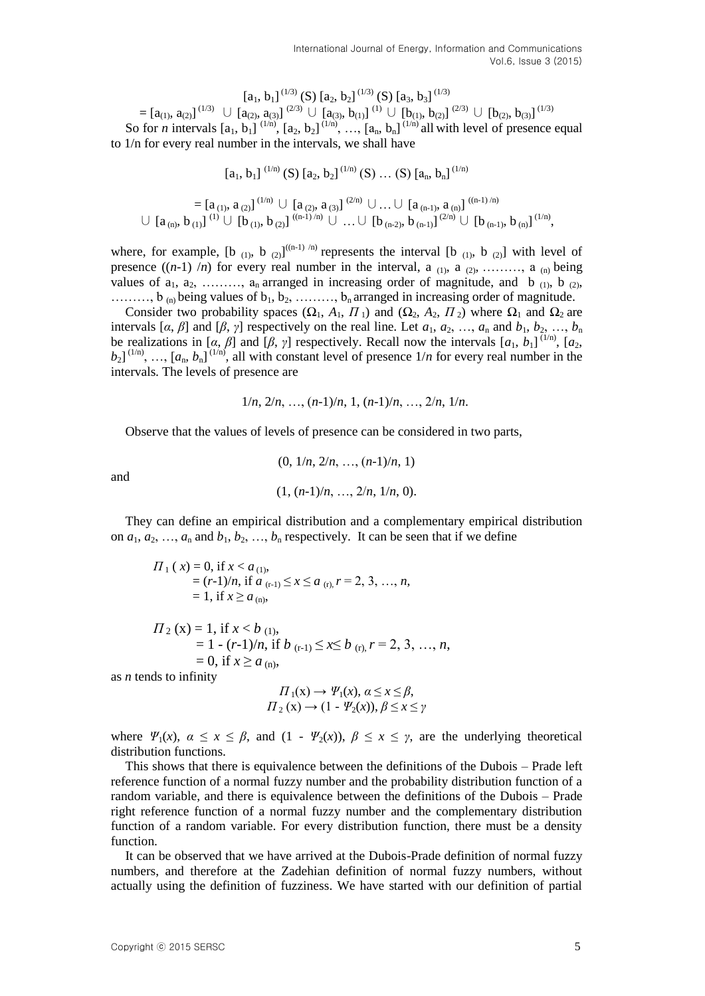$[a_1, b_1]^{(1/3)}$  (S)  $[a_2, b_2]^{(1/3)}$  (S)  $[a_3, b_3]^{(1/3)}$  $=[a_{(1)}, a_{(2)}]^{(1/3)} \cup [a_{(2)}, a_{(3)}]^{(2/3)} \cup [a_{(3)}, b_{(1)}]^{(1)} \cup [b_{(1)}, b_{(2)}]^{(2/3)} \cup [b_{(2)}, b_{(3)}]^{(1/3)}$ So for *n* intervals  $[a_1, b_1]^{(1/n)}$ ,  $[a_2, b_2]^{(1/n)}$ , ...,  $[a_n, b_n]^{(1/n)}$  all with level of presence equal to 1/n for every real number in the intervals, we shall have

 $[a_1, b_1]^{(1/n)}$  (S)  $[a_2, b_2]^{(1/n)}$  (S) ... (S)  $[a_n, b_n]^{(1/n)}$ 

$$
= [a_{(1)}, a_{(2)}]^{(1/n)} \cup [a_{(2)}, a_{(3)}]^{(2/n)} \cup ... \cup [a_{(n-1)}, a_{(n)}]^{((n-1)/n)} \\ \cup [a_{(n)}, b_{(1)}]^{(1)} \cup [b_{(1)}, b_{(2)}]^{((n-1)/n)} \cup ... \cup [b_{(n-2)}, b_{(n-1)}]^{(2/n)} \cup [b_{(n-1)}, b_{(n)}]^{(1/n)},
$$

where, for example,  $[b_{(1)}, b_{(2)}]^{((n-1)/n)}$  represents the interval  $[b_{(1)}, b_{(2)}]$  with level of presence  $((n-1)$  /*n*) for every real number in the interval, a  $(1)$ , a  $(2)$ , ……, a  $(n)$  being values of  $a_1, a_2, \ldots, a_n$  arranged in increasing order of magnitude, and b  $_{(1)}$ , b  $_{(2)}$ , ........,  $b_{(n)}$  being values of  $b_1, b_2, \ldots, b_n$  arranged in increasing order of magnitude.

Consider two probability spaces  $(\Omega_1, A_1, \Pi_1)$  and  $(\Omega_2, A_2, \Pi_2)$  where  $\Omega_1$  and  $\Omega_2$  are intervals  $[\alpha, \beta]$  and  $[\beta, \gamma]$  respectively on the real line. Let  $a_1, a_2, ..., a_n$  and  $b_1, b_2, ..., b_n$ be realizations in [ $\alpha$ ,  $\beta$ ] and [ $\beta$ ,  $\gamma$ ] respectively. Recall now the intervals [ $a_1$ ,  $b_1$ ]<sup>(1/n)</sup>, [ $a_2$ ,  $b_2$ <sup>[1/n)</sup>, ...,  $[a_n, b_n]$ <sup>[1/n)</sup>, all with constant level of presence  $1/n$  for every real number in the intervals*.* The levels of presence are

$$
1/n, 2/n, ..., (n-1)/n, 1, (n-1)/n, ..., 2/n, 1/n.
$$

Observe that the values of levels of presence can be considered in two parts,

$$
(0, 1/n, 2/n, ..., (n-1)/n, 1)
$$
  
 $(1, (n-1)/n, ..., 2/n, 1/n, 0).$ 

They can define an empirical distribution and a complementary empirical distribution on  $a_1, a_2, \ldots, a_n$  and  $b_1, b_2, \ldots, b_n$  respectively. It can be seen that if we define

$$
\Pi_1(x) = 0, \text{ if } x < a_{(1)},
$$
  
=  $(r-1)/n$ , if  $a_{(r-1)} \le x \le a_{(r)}, r = 2, 3, ..., n,$   
= 1, if  $x \ge a_{(n)}$ ,

$$
\begin{aligned} \Pi_2 \left( x \right) &= 1, \text{ if } x < b_{(1)}, \\ &= 1 - (r-1)/n, \text{ if } b_{(r-1)} \le x \le b_{(r)}, r = 2, 3, \dots, n, \\ &= 0, \text{ if } x \ge a_{(n)}, \end{aligned}
$$

as *n* tends to infinity

$$
\Pi_1(\mathbf{x}) \to \Psi_1(\mathbf{x}), \, \alpha \le \mathbf{x} \le \beta, \n\Pi_2(\mathbf{x}) \to (1 - \Psi_2(\mathbf{x})), \, \beta \le \mathbf{x} \le \gamma
$$

where  $\Psi_1(x)$ ,  $\alpha \leq x \leq \beta$ , and  $(1 - \Psi_2(x))$ ,  $\beta \leq x \leq \gamma$ , are the underlying theoretical distribution functions.

This shows that there is equivalence between the definitions of the Dubois – Prade left reference function of a normal fuzzy number and the probability distribution function of a random variable, and there is equivalence between the definitions of the Dubois – Prade right reference function of a normal fuzzy number and the complementary distribution function of a random variable. For every distribution function, there must be a density function.

It can be observed that we have arrived at the Dubois-Prade definition of normal fuzzy numbers, and therefore at the Zadehian definition of normal fuzzy numbers, without actually using the definition of fuzziness. We have started with our definition of partial

and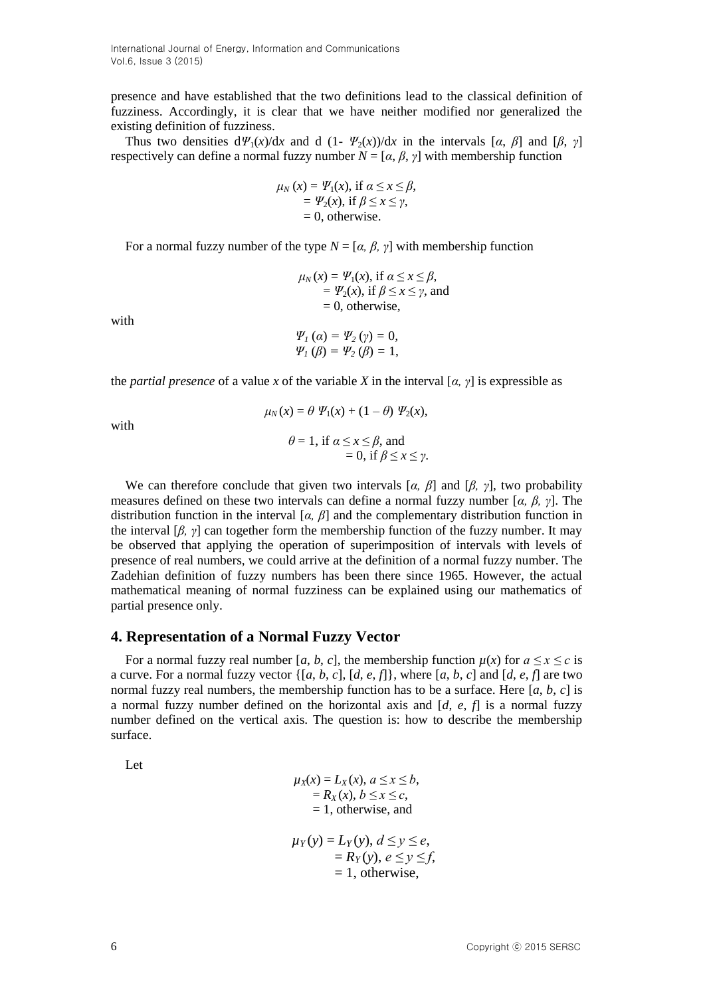presence and have established that the two definitions lead to the classical definition of fuzziness. Accordingly, it is clear that we have neither modified nor generalized the existing definition of fuzziness.

Thus two densities  $d\mathcal{V}_1(x)/dx$  and  $d(1-\mathcal{V}_2(x))/dx$  in the intervals [*α*, *β*] and [*β*, *γ*] respectively can define a normal fuzzy number  $N = [\alpha, \beta, \gamma]$  with membership function

$$
\mu_N(x) = \Psi_1(x), \text{ if } \alpha \le x \le \beta, \n= \Psi_2(x), \text{ if } \beta \le x \le \gamma, \n= 0, \text{ otherwise.}
$$

For a normal fuzzy number of the type  $N = [\alpha, \beta, \gamma]$  with membership function

$$
\mu_N(x) = \Psi_1(x), \text{ if } a \le x \le \beta, \n= \Psi_2(x), \text{ if } \beta \le x \le \gamma, \text{ and } \n= 0, \text{ otherwise},
$$

with

$$
\Psi_1(\alpha) = \Psi_2(\gamma) = 0,
$$
  
\n $\Psi_1(\beta) = \Psi_2(\beta) = 1,$ 

the *partial presence* of a value *x* of the variable *X* in the interval [ $\alpha$ ,  $\gamma$ ] is expressible as

with

$$
\mu_N(x) = \theta \ \Psi_1(x) + (1 - \theta) \ \Psi_2(x),
$$

$$
\theta = 1, \text{ if } \alpha \le x \le \beta, \text{ and }
$$

$$
= 0, \text{ if } \beta \le x \le \gamma.
$$

We can therefore conclude that given two intervals [*α, β*] and [*β, γ*], two probability measures defined on these two intervals can define a normal fuzzy number [*α, β, γ*]. The distribution function in the interval [*α, β*] and the complementary distribution function in the interval [*β, γ*] can together form the membership function of the fuzzy number. It may be observed that applying the operation of superimposition of intervals with levels of presence of real numbers, we could arrive at the definition of a normal fuzzy number. The Zadehian definition of fuzzy numbers has been there since 1965. However, the actual mathematical meaning of normal fuzziness can be explained using our mathematics of partial presence only.

#### **4. Representation of a Normal Fuzzy Vector**

For a normal fuzzy real number [*a*, *b*, *c*], the membership function  $\mu(x)$  for  $a \le x \le c$  is a curve. For a normal fuzzy vector  $\{[a, b, c], [d, e, f]\}$ , where  $[a, b, c]$  and  $[d, e, f]$  are two normal fuzzy real numbers, the membership function has to be a surface. Here  $[a, b, c]$  is a normal fuzzy number defined on the horizontal axis and [*d*, *e*, *f*] is a normal fuzzy number defined on the vertical axis. The question is: how to describe the membership surface.

Let

$$
\mu_X(x) = L_X(x), \ a \le x \le b,
$$
  
= R<sub>X</sub>(x), b \le x \le c,  
= 1, otherwise, and

$$
\mu_Y(y) = L_Y(y), \ d \le y \le e,
$$
  
=  $R_Y(y), \ e \le y \le f,$   
= 1, otherwise,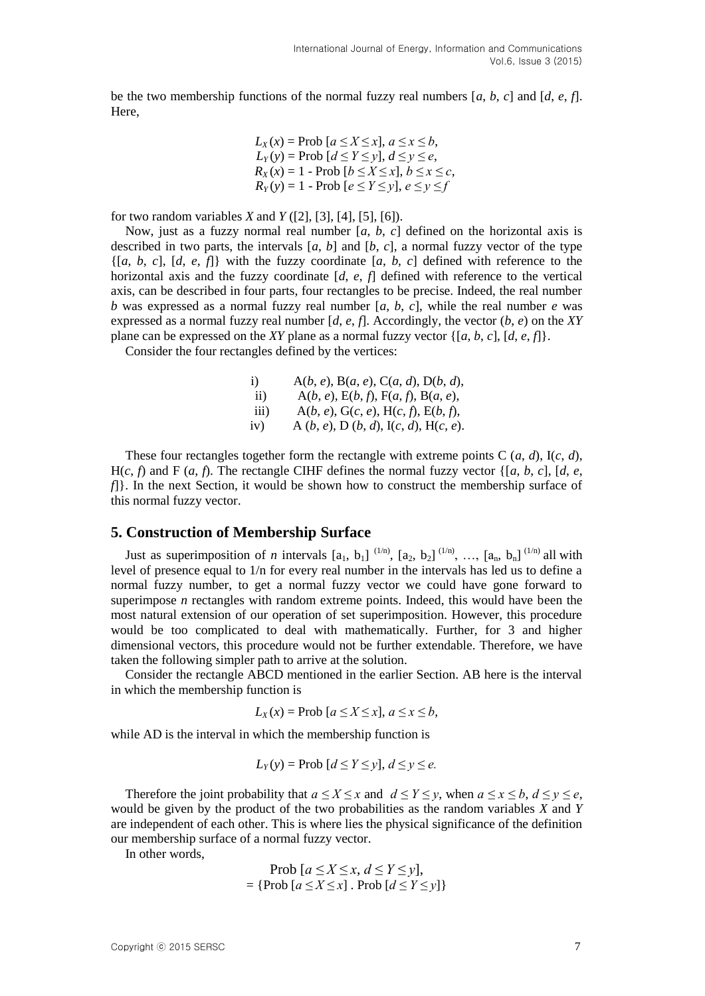be the two membership functions of the normal fuzzy real numbers [*a*, *b*, *c*] and [*d*, *e*, *f*]. Here,

$$
L_X(x) = \text{Prob } [a \le X \le x], a \le x \le b,
$$
  
\n
$$
L_Y(y) = \text{Prob } [d \le Y \le y], d \le y \le e,
$$
  
\n
$$
R_X(x) = 1 - \text{Prob } [b \le X \le x], b \le x \le c,
$$
  
\n
$$
R_Y(y) = 1 - \text{Prob } [e \le Y \le y], e \le y \le f
$$

for two random variables *X* and *Y* ([2], [3], [4], [5], [6]).

Now, just as a fuzzy normal real number [*a*, *b*, *c*] defined on the horizontal axis is described in two parts, the intervals  $[a, b]$  and  $[b, c]$ , a normal fuzzy vector of the type  $\{[a, b, c], [d, e, f]\}$  with the fuzzy coordinate  $[a, b, c]$  defined with reference to the horizontal axis and the fuzzy coordinate [*d*, *e*, *f*] defined with reference to the vertical axis, can be described in four parts, four rectangles to be precise. Indeed, the real number *b* was expressed as a normal fuzzy real number [*a*, *b*, *c*], while the real number *e* was expressed as a normal fuzzy real number  $[d, e, f]$ . Accordingly, the vector  $(b, e)$  on the XY plane can be expressed on the *XY* plane as a normal fuzzy vector {[*a*, *b*, *c*], [*d*, *e*, *f*]}.

Consider the four rectangles defined by the vertices:

i)  $A(b, e), B(a, e), C(a, d), D(b, d),$ ii)  $A(b, e), E(b, f), F(a, f), B(a, e),$ iii)  $A(b, e), G(c, e), H(c, f), E(b, f),$ iv) A (*b*, *e*), D (*b*, *d*), I(*c*, *d*), H(*c*, *e*).

These four rectangles together form the rectangle with extreme points C  $(a, d)$ ,  $I(c, d)$ ,  $H(c, f)$  and F  $(a, f)$ . The rectangle CIHF defines the normal fuzzy vector  $\{[a, b, c], [d, e, d]\}$ *f*[1]. In the next Section, it would be shown how to construct the membership surface of this normal fuzzy vector.

# **5. Construction of Membership Surface**

Just as superimposition of *n* intervals  $[a_1, b_1]^{(1/n)}$ ,  $[a_2, b_2]^{(1/n)}$ , ...,  $[a_n, b_n]^{(1/n)}$  all with level of presence equal to 1/n for every real number in the intervals has led us to define a normal fuzzy number, to get a normal fuzzy vector we could have gone forward to superimpose *n* rectangles with random extreme points. Indeed, this would have been the most natural extension of our operation of set superimposition. However, this procedure would be too complicated to deal with mathematically. Further, for 3 and higher dimensional vectors, this procedure would not be further extendable. Therefore, we have taken the following simpler path to arrive at the solution.

Consider the rectangle ABCD mentioned in the earlier Section. AB here is the interval in which the membership function is

$$
L_X(x) = \text{Prob } [a \le X \le x], a \le x \le b,
$$

while AD is the interval in which the membership function is

$$
L_Y(y) = \text{Prob } [d \le Y \le y], d \le y \le e.
$$

Therefore the joint probability that  $a \le X \le x$  and  $d \le Y \le y$ , when  $a \le x \le b$ ,  $d \le y \le e$ , would be given by the product of the two probabilities as the random variables *X* and *Y*  are independent of each other. This is where lies the physical significance of the definition our membership surface of a normal fuzzy vector.

In other words,

$$
\text{Prob}[a \le X \le x, d \le Y \le y],
$$
\n
$$
= \{\text{Prob}[a \le X \le x] \cdot \text{Prob}[d \le Y \le y] \}
$$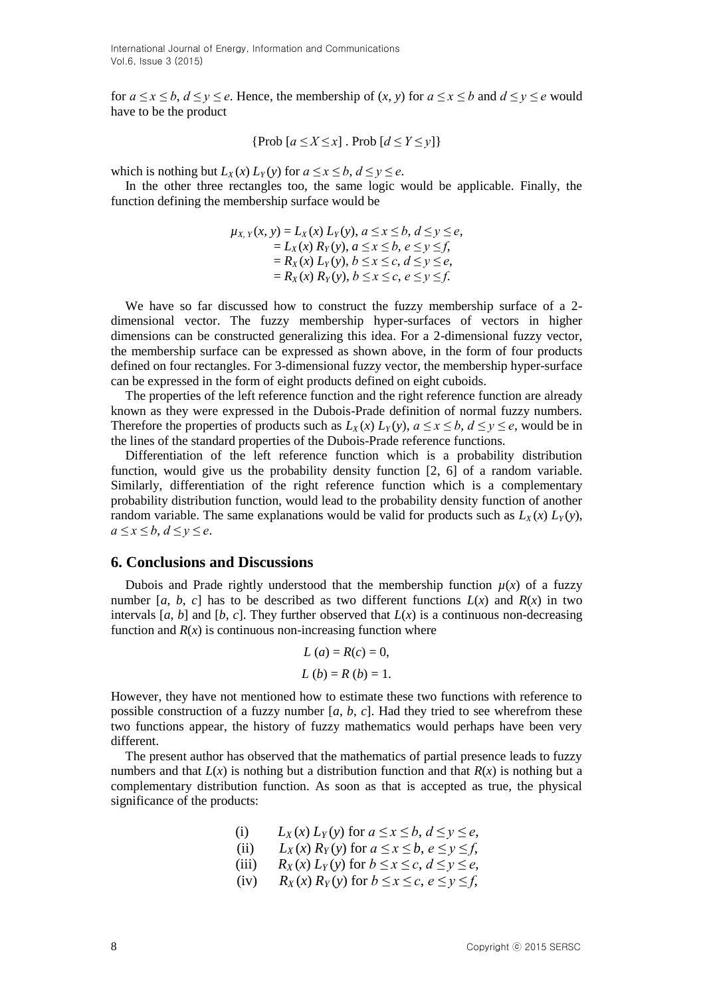International Journal of Energy, Information and Communications Vol.6, Issue 3 (2015)

for  $a \le x \le b$ ,  $d \le y \le e$ . Hence, the membership of  $(x, y)$  for  $a \le x \le b$  and  $d \le y \le e$  would have to be the product

$$
\{\text{Prob}\ [a \le X \le x] \ . \ \text{Prob}\ [d \le Y \le y]\}
$$

which is nothing but  $L_X(x) L_Y(y)$  for  $a \le x \le b$ ,  $d \le y \le e$ .

In the other three rectangles too, the same logic would be applicable. Finally, the function defining the membership surface would be

$$
\mu_{X, Y}(x, y) = L_X(x) L_Y(y), a \le x \le b, d \le y \le e, \n= L_X(x) R_Y(y), a \le x \le b, e \le y \le f, \n= R_X(x) L_Y(y), b \le x \le c, d \le y \le e, \n= R_X(x) R_Y(y), b \le x \le c, e \le y \le f.
$$

We have so far discussed how to construct the fuzzy membership surface of a 2 dimensional vector. The fuzzy membership hyper-surfaces of vectors in higher dimensions can be constructed generalizing this idea. For a 2-dimensional fuzzy vector, the membership surface can be expressed as shown above, in the form of four products defined on four rectangles. For 3-dimensional fuzzy vector, the membership hyper-surface can be expressed in the form of eight products defined on eight cuboids.

The properties of the left reference function and the right reference function are already known as they were expressed in the Dubois-Prade definition of normal fuzzy numbers. Therefore the properties of products such as  $L_X(x) L_Y(y)$ ,  $a \le x \le b$ ,  $d \le y \le e$ , would be in the lines of the standard properties of the Dubois-Prade reference functions.

Differentiation of the left reference function which is a probability distribution function, would give us the probability density function [2, 6] of a random variable. Similarly, differentiation of the right reference function which is a complementary probability distribution function, would lead to the probability density function of another random variable. The same explanations would be valid for products such as  $L_X(x) L_Y(y)$ , *a ≤ x ≤ b*, *d ≤ y ≤ e*.

### **6. Conclusions and Discussions**

Dubois and Prade rightly understood that the membership function  $\mu(x)$  of a fuzzy number [*a*, *b*, *c*] has to be described as two different functions  $L(x)$  and  $R(x)$  in two intervals [ $a, b$ ] and [ $b, c$ ]. They further observed that  $L(x)$  is a continuous non-decreasing function and  $R(x)$  is continuous non-increasing function where

$$
L(a) = R(c) = 0,
$$
  
\n $L(b) = R(b) = 1.$ 

However, they have not mentioned how to estimate these two functions with reference to possible construction of a fuzzy number [*a*, *b*, *c*]. Had they tried to see wherefrom these two functions appear, the history of fuzzy mathematics would perhaps have been very different.

The present author has observed that the mathematics of partial presence leads to fuzzy numbers and that  $L(x)$  is nothing but a distribution function and that  $R(x)$  is nothing but a complementary distribution function. As soon as that is accepted as true, the physical significance of the products:

(i) 
$$
L_X(x) L_Y(y)
$$
 for  $a \le x \le b, d \le y \le e$ ,

- (ii)  $L_X(x) R_Y(y)$  for  $a \le x \le b, e \le y \le f$ ,
- (iii)  $R_X(x) L_Y(y)$  for  $b \le x \le c, d \le y \le e$ ,
- (iv)  $R_X(x) R_Y(y)$  for  $b \le x \le c, e \le y \le f$ ,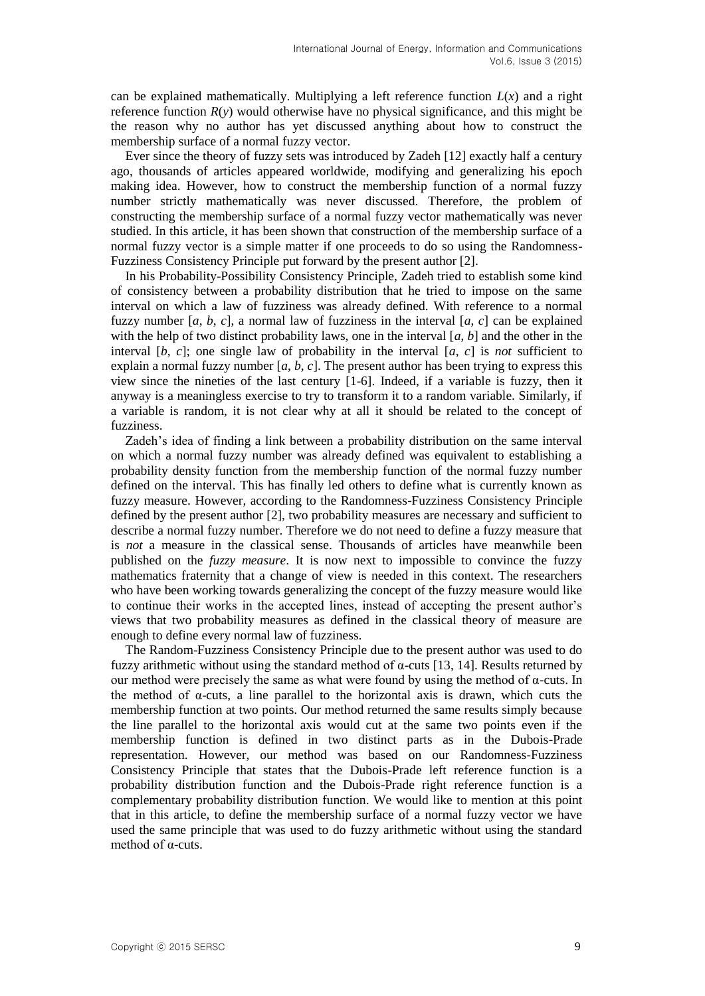can be explained mathematically. Multiplying a left reference function  $L(x)$  and a right reference function *R*(*y*) would otherwise have no physical significance, and this might be the reason why no author has yet discussed anything about how to construct the membership surface of a normal fuzzy vector.

Ever since the theory of fuzzy sets was introduced by Zadeh [12] exactly half a century ago, thousands of articles appeared worldwide, modifying and generalizing his epoch making idea. However, how to construct the membership function of a normal fuzzy number strictly mathematically was never discussed. Therefore, the problem of constructing the membership surface of a normal fuzzy vector mathematically was never studied. In this article, it has been shown that construction of the membership surface of a normal fuzzy vector is a simple matter if one proceeds to do so using the Randomness-Fuzziness Consistency Principle put forward by the present author [2].

In his Probability-Possibility Consistency Principle, Zadeh tried to establish some kind of consistency between a probability distribution that he tried to impose on the same interval on which a law of fuzziness was already defined. With reference to a normal fuzzy number  $[a, b, c]$ , a normal law of fuzziness in the interval  $[a, c]$  can be explained with the help of two distinct probability laws, one in the interval  $[a, b]$  and the other in the interval  $[b, c]$ ; one single law of probability in the interval  $[a, c]$  is *not* sufficient to explain a normal fuzzy number  $[a, b, c]$ . The present author has been trying to express this view since the nineties of the last century [1-6]. Indeed, if a variable is fuzzy, then it anyway is a meaningless exercise to try to transform it to a random variable. Similarly, if a variable is random, it is not clear why at all it should be related to the concept of fuzziness.

Zadeh's idea of finding a link between a probability distribution on the same interval on which a normal fuzzy number was already defined was equivalent to establishing a probability density function from the membership function of the normal fuzzy number defined on the interval. This has finally led others to define what is currently known as fuzzy measure. However, according to the Randomness-Fuzziness Consistency Principle defined by the present author [2], two probability measures are necessary and sufficient to describe a normal fuzzy number. Therefore we do not need to define a fuzzy measure that is *not* a measure in the classical sense. Thousands of articles have meanwhile been published on the *fuzzy measure*. It is now next to impossible to convince the fuzzy mathematics fraternity that a change of view is needed in this context. The researchers who have been working towards generalizing the concept of the fuzzy measure would like to continue their works in the accepted lines, instead of accepting the present author's views that two probability measures as defined in the classical theory of measure are enough to define every normal law of fuzziness.

The Random-Fuzziness Consistency Principle due to the present author was used to do fuzzy arithmetic without using the standard method of α-cuts [13, 14]. Results returned by our method were precisely the same as what were found by using the method of α-cuts. In the method of  $\alpha$ -cuts, a line parallel to the horizontal axis is drawn, which cuts the membership function at two points. Our method returned the same results simply because the line parallel to the horizontal axis would cut at the same two points even if the membership function is defined in two distinct parts as in the Dubois-Prade representation. However, our method was based on our Randomness-Fuzziness Consistency Principle that states that the Dubois-Prade left reference function is a probability distribution function and the Dubois-Prade right reference function is a complementary probability distribution function. We would like to mention at this point that in this article, to define the membership surface of a normal fuzzy vector we have used the same principle that was used to do fuzzy arithmetic without using the standard method of α-cuts.